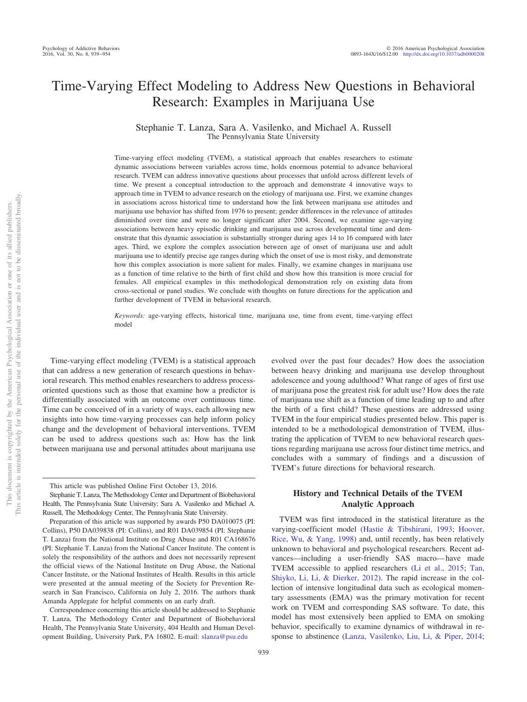# Time-Varying Effect Modeling to Address New Questions in Behavioral Research: Examples in Marijuana Use

Stephanie T. Lanza, Sara A. Vasilenko, and Michael A. Russell The Pennsylvania State University

Time-varying effect modeling (TVEM), a statistical approach that enables researchers to estimate dynamic associations between variables across time, holds enormous potential to advance behavioral research. TVEM can address innovative questions about processes that unfold across different levels of time. We present a conceptual introduction to the approach and demonstrate 4 innovative ways to approach time in TVEM to advance research on the etiology of marijuana use. First, we examine changes in associations across historical time to understand how the link between marijuana use attitudes and marijuana use behavior has shifted from 1976 to present; gender differences in the relevance of attitudes diminished over time and were no longer significant after 2004. Second, we examine age-varying associations between heavy episodic drinking and marijuana use across developmental time and demonstrate that this dynamic association is substantially stronger during ages 14 to 16 compared with later ages. Third, we explore the complex association between age of onset of marijuana use and adult marijuana use to identify precise age ranges during which the onset of use is most risky, and demonstrate how this complex association is more salient for males. Finally, we examine changes in marijuana use as a function of time relative to the birth of first child and show how this transition is more crucial for females. All empirical examples in this methodological demonstration rely on existing data from cross-sectional or panel studies. We conclude with thoughts on future directions for the application and further development of TVEM in behavioral research.

*Keywords:* age-varying effects, historical time, marijuana use, time from event, time-varying effect model

Time-varying effect modeling (TVEM) is a statistical approach that can address a new generation of research questions in behavioral research. This method enables researchers to address processoriented questions such as those that examine how a predictor is differentially associated with an outcome over continuous time. Time can be conceived of in a variety of ways, each allowing new insights into how time-varying processes can help inform policy change and the development of behavioral interventions. TVEM can be used to address questions such as: How has the link between marijuana use and personal attitudes about marijuana use evolved over the past four decades? How does the association between heavy drinking and marijuana use develop throughout adolescence and young adulthood? What range of ages of first use of marijuana pose the greatest risk for adult use? How does the rate of marijuana use shift as a function of time leading up to and after the birth of a first child? These questions are addressed using TVEM in the four empirical studies presented below. This paper is intended to be a methodological demonstration of TVEM, illustrating the application of TVEM to new behavioral research questions regarding marijuana use across four distinct time metrics, and concludes with a summary of findings and a discussion of TVEM's future directions for behavioral research.

# **History and Technical Details of the TVEM Analytic Approach**

TVEM was first introduced in the statistical literature as the varying-coefficient model [\(Hastie & Tibshirani, 1993;](#page-11-0) [Hoover,](#page-11-1) [Rice, Wu, & Yang, 1998\)](#page-11-1) and, until recently, has been relatively unknown to behavioral and psychological researchers. Recent advances—including a user-friendly SAS macro— have made TVEM accessible to applied researchers [\(Li et al., 2015;](#page-11-2) [Tan,](#page-12-0) [Shiyko, Li, Li, & Dierker, 2012\)](#page-12-0). The rapid increase in the collection of intensive longitudinal data such as ecological momentary assessments (EMA) was the primary motivation for recent work on TVEM and corresponding SAS software. To date, this model has most extensively been applied to EMA on smoking behavior, specifically to examine dynamics of withdrawal in response to abstinence [\(Lanza, Vasilenko, Liu, Li, & Piper, 2014;](#page-11-3)

This article was published Online First October 13, 2016.

Stephanie T. Lanza, The Methodology Center and Department of Biobehavioral Health, The Pennsylvania State University; Sara A. Vasilenko and Michael A. Russell, The Methodology Center, The Pennsylvania State University.

Preparation of this article was supported by awards P50 DA010075 (PI: Collins), P50 DA039838 (PI: Collins), and R01 DA039854 (PI: Stephanie T. Lanza) from the National Institute on Drug Abuse and R01 CA168676 (PI: Stephanie T. Lanza) from the National Cancer Institute. The content is solely the responsibility of the authors and does not necessarily represent the official views of the National Institute on Drug Abuse, the National Cancer Institute, or the National Institutes of Health. Results in this article were presented at the annual meeting of the Society for Prevention Research in San Francisco, California on July 2, 2016. The authors thank Amanda Applegate for helpful comments on an early draft.

Correspondence concerning this article should be addressed to Stephanie T. Lanza, The Methodology Center and Department of Biobehavioral Health, The Pennsylvania State University, 404 Health and Human Development Building, University Park, PA 16802. E-mail: [slanza@psu.edu](mailto:slanza@psu.edu)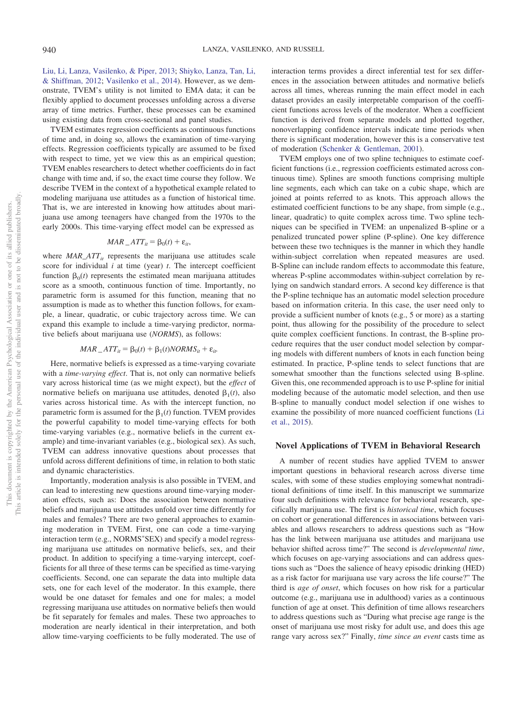[Liu, Li, Lanza, Vasilenko, & Piper, 2013;](#page-11-4) [Shiyko, Lanza, Tan, Li,](#page-11-5) [& Shiffman, 2012;](#page-11-5) [Vasilenko et al., 2014\)](#page-12-1). However, as we demonstrate, TVEM's utility is not limited to EMA data; it can be flexibly applied to document processes unfolding across a diverse array of time metrics. Further, these processes can be examined using existing data from cross-sectional and panel studies.

TVEM estimates regression coefficients as continuous functions of time and, in doing so, allows the examination of time-varying effects. Regression coefficients typically are assumed to be fixed with respect to time, yet we view this as an empirical question; TVEM enables researchers to detect whether coefficients do in fact change with time and, if so, the exact time course they follow. We describe TVEM in the context of a hypothetical example related to modeling marijuana use attitudes as a function of historical time. That is, we are interested in knowing how attitudes about marijuana use among teenagers have changed from the 1970s to the early 2000s. This time-varying effect model can be expressed as

$$
MAR\_ATT_{it} = \beta_0(t) + \varepsilon_{it},
$$

where  $MAR\_ATT_{it}$  represents the marijuana use attitudes scale score for individual *i* at time (year) *t*. The intercept coefficient function  $\beta_0(t)$  represents the estimated mean marijuana attitudes score as a smooth, continuous function of time. Importantly, no parametric form is assumed for this function, meaning that no assumption is made as to whether this function follows, for example, a linear, quadratic, or cubic trajectory across time. We can expand this example to include a time-varying predictor, normative beliefs about marijuana use (*NORMS*), as follows:

 $MAR\_ATT_{it} = \beta_0(t) + \beta_1(t)NORMS_{it} + \varepsilon_{it}.$ 

Here, normative beliefs is expressed as a time-varying covariate with a *time-varying effect*. That is, not only can normative beliefs vary across historical time (as we might expect), but the *effect* of normative beliefs on marijuana use attitudes, denoted  $\beta_1(t)$ , also varies across historical time. As with the intercept function, no parametric form is assumed for the  $\beta_1(t)$  function. TVEM provides the powerful capability to model time-varying effects for both time-varying variables (e.g., normative beliefs in the current example) and time-invariant variables (e.g., biological sex). As such, TVEM can address innovative questions about processes that unfold across different definitions of time, in relation to both static and dynamic characteristics.

Importantly, moderation analysis is also possible in TVEM, and can lead to interesting new questions around time-varying moderation effects, such as: Does the association between normative beliefs and marijuana use attitudes unfold over time differently for males and females? There are two general approaches to examining moderation in TVEM. First, one can code a time-varying interaction term (e.g., NORMS\*SEX) and specify a model regressing marijuana use attitudes on normative beliefs, sex, and their product. In addition to specifying a time-varying intercept, coefficients for all three of these terms can be specified as time-varying coefficients. Second, one can separate the data into multiple data sets, one for each level of the moderator. In this example, there would be one dataset for females and one for males; a model regressing marijuana use attitudes on normative beliefs then would be fit separately for females and males. These two approaches to moderation are nearly identical in their interpretation, and both allow time-varying coefficients to be fully moderated. The use of interaction terms provides a direct inferential test for sex differences in the association between attitudes and normative beliefs across all times, whereas running the main effect model in each dataset provides an easily interpretable comparison of the coefficient functions across levels of the moderator. When a coefficient function is derived from separate models and plotted together, nonoverlapping confidence intervals indicate time periods when there is significant moderation, however this is a conservative test of moderation [\(Schenker & Gentleman, 2001\)](#page-11-6).

TVEM employs one of two spline techniques to estimate coefficient functions (i.e., regression coefficients estimated across continuous time). Splines are smooth functions comprising multiple line segments, each which can take on a cubic shape, which are joined at points referred to as knots. This approach allows the estimated coefficient functions to be any shape, from simple (e.g., linear, quadratic) to quite complex across time. Two spline techniques can be specified in TVEM: an unpenalized B-spline or a penalized truncated power spline (P-spline). One key difference between these two techniques is the manner in which they handle within-subject correlation when repeated measures are used. B-Spline can include random effects to accommodate this feature, whereas P-spline accommodates within-subject correlation by relying on sandwich standard errors. A second key difference is that the P-spline technique has an automatic model selection procedure based on information criteria. In this case, the user need only to provide a sufficient number of knots (e.g., 5 or more) as a starting point, thus allowing for the possibility of the procedure to select quite complex coefficient functions. In contrast, the B-spline procedure requires that the user conduct model selection by comparing models with different numbers of knots in each function being estimated. In practice, P-spline tends to select functions that are somewhat smoother than the functions selected using B-spline. Given this, one recommended approach is to use P-spline for initial modeling because of the automatic model selection, and then use B-spline to manually conduct model selection if one wishes to examine the possibility of more nuanced coefficient functions [\(Li](#page-11-2) [et al., 2015\)](#page-11-2).

#### **Novel Applications of TVEM in Behavioral Research**

A number of recent studies have applied TVEM to answer important questions in behavioral research across diverse time scales, with some of these studies employing somewhat nontraditional definitions of time itself. In this manuscript we summarize four such definitions with relevance for behavioral research, specifically marijuana use. The first is *historical time*, which focuses on cohort or generational differences in associations between variables and allows researchers to address questions such as "How has the link between marijuana use attitudes and marijuana use behavior shifted across time?" The second is *developmental time*, which focuses on age-varying associations and can address questions such as "Does the salience of heavy episodic drinking (HED) as a risk factor for marijuana use vary across the life course?" The third is *age of onset*, which focuses on how risk for a particular outcome (e.g., marijuana use in adulthood) varies as a continuous function of age at onset. This definition of time allows researchers to address questions such as "During what precise age range is the onset of marijuana use most risky for adult use, and does this age range vary across sex?" Finally, *time since an event* casts time as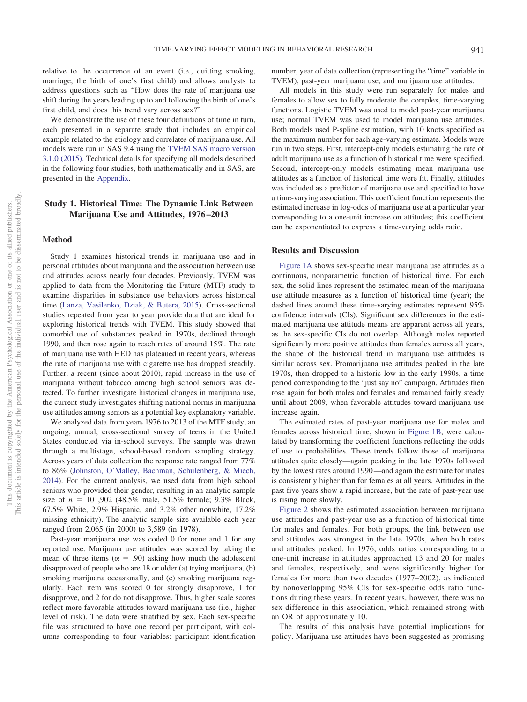relative to the occurrence of an event (i.e., quitting smoking, marriage, the birth of one's first child) and allows analysts to address questions such as "How does the rate of marijuana use shift during the years leading up to and following the birth of one's first child, and does this trend vary across sex?"

We demonstrate the use of these four definitions of time in turn, each presented in a separate study that includes an empirical example related to the etiology and correlates of marijuana use. All models were run in SAS 9.4 using the [TVEM SAS macro version](#page-12-2) [3.1.0 \(2015\).](#page-12-2) Technical details for specifying all models described in the following four studies, both mathematically and in SAS, are presented in the [Appendix.](#page-12-3)

# **Study 1. Historical Time: The Dynamic Link Between Marijuana Use and Attitudes, 1976 –2013**

#### **Method**

Study 1 examines historical trends in marijuana use and in personal attitudes about marijuana and the association between use and attitudes across nearly four decades. Previously, TVEM was applied to data from the Monitoring the Future (MTF) study to examine disparities in substance use behaviors across historical time [\(Lanza, Vasilenko, Dziak, & Butera, 2015\)](#page-11-7). Cross-sectional studies repeated from year to year provide data that are ideal for exploring historical trends with TVEM. This study showed that comorbid use of substances peaked in 1970s, declined through 1990, and then rose again to reach rates of around 15%. The rate of marijuana use with HED has plateaued in recent years, whereas the rate of marijuana use with cigarette use has dropped steadily. Further, a recent (since about 2010), rapid increase in the use of marijuana without tobacco among high school seniors was detected. To further investigate historical changes in marijuana use, the current study investigates shifting national norms in marijuana use attitudes among seniors as a potential key explanatory variable.

We analyzed data from years 1976 to 2013 of the MTF study, an ongoing, annual, cross-sectional survey of teens in the United States conducted via in-school surveys. The sample was drawn through a multistage, school-based random sampling strategy. Across years of data collection the response rate ranged from 77% to 86% [\(Johnston, O'Malley, Bachman, Schulenberg, & Miech,](#page-11-8) [2014\)](#page-11-8). For the current analysis, we used data from high school seniors who provided their gender, resulting in an analytic sample size of  $n = 101,902$  (48.5% male, 51.5% female; 9.3% Black, 67.5% White, 2.9% Hispanic, and 3.2% other nonwhite, 17.2% missing ethnicity). The analytic sample size available each year ranged from 2,065 (in 2000) to 3,589 (in 1978).

Past-year marijuana use was coded 0 for none and 1 for any reported use. Marijuana use attitudes was scored by taking the mean of three items ( $\alpha = .90$ ) asking how much the adolescent disapproved of people who are 18 or older (a) trying marijuana, (b) smoking marijuana occasionally, and (c) smoking marijuana regularly. Each item was scored 0 for strongly disapprove, 1 for disapprove, and 2 for do not disapprove. Thus, higher scale scores reflect more favorable attitudes toward marijuana use (i.e., higher level of risk). The data were stratified by sex. Each sex-specific file was structured to have one record per participant, with columns corresponding to four variables: participant identification

number, year of data collection (representing the "time" variable in TVEM), past-year marijuana use, and marijuana use attitudes.

All models in this study were run separately for males and females to allow sex to fully moderate the complex, time-varying functions. Logistic TVEM was used to model past-year marijuana use; normal TVEM was used to model marijuana use attitudes. Both models used P-spline estimation, with 10 knots specified as the maximum number for each age-varying estimate. Models were run in two steps. First, intercept-only models estimating the rate of adult marijuana use as a function of historical time were specified. Second, intercept-only models estimating mean marijuana use attitudes as a function of historical time were fit. Finally, attitudes was included as a predictor of marijuana use and specified to have a time-varying association. This coefficient function represents the estimated increase in log-odds of marijuana use at a particular year corresponding to a one-unit increase on attitudes; this coefficient can be exponentiated to express a time-varying odds ratio.

# **Results and Discussion**

[Figure 1A](#page-3-0) shows sex-specific mean marijuana use attitudes as a continuous, nonparametric function of historical time. For each sex, the solid lines represent the estimated mean of the marijuana use attitude measures as a function of historical time (year); the dashed lines around these time-varying estimates represent 95% confidence intervals (CIs). Significant sex differences in the estimated marijuana use attitude means are apparent across all years, as the sex-specific CIs do not overlap. Although males reported significantly more positive attitudes than females across all years, the shape of the historical trend in marijuana use attitudes is similar across sex. Promarijuana use attitudes peaked in the late 1970s, then dropped to a historic low in the early 1990s, a time period corresponding to the "just say no" campaign. Attitudes then rose again for both males and females and remained fairly steady until about 2009, when favorable attitudes toward marijuana use increase again.

The estimated rates of past-year marijuana use for males and females across historical time, shown in [Figure 1B,](#page-3-0) were calculated by transforming the coefficient functions reflecting the odds of use to probabilities. These trends follow those of marijuana attitudes quite closely—again peaking in the late 1970s followed by the lowest rates around 1990—and again the estimate for males is consistently higher than for females at all years. Attitudes in the past five years show a rapid increase, but the rate of past-year use is rising more slowly.

[Figure 2](#page-4-0) shows the estimated association between marijuana use attitudes and past-year use as a function of historical time for males and females. For both groups, the link between use and attitudes was strongest in the late 1970s, when both rates and attitudes peaked. In 1976, odds ratios corresponding to a one-unit increase in attitudes approached 13 and 20 for males and females, respectively, and were significantly higher for females for more than two decades (1977–2002), as indicated by nonoverlapping 95% CIs for sex-specific odds ratio functions during these years. In recent years, however, there was no sex difference in this association, which remained strong with an OR of approximately 10.

The results of this analysis have potential implications for policy. Marijuana use attitudes have been suggested as promising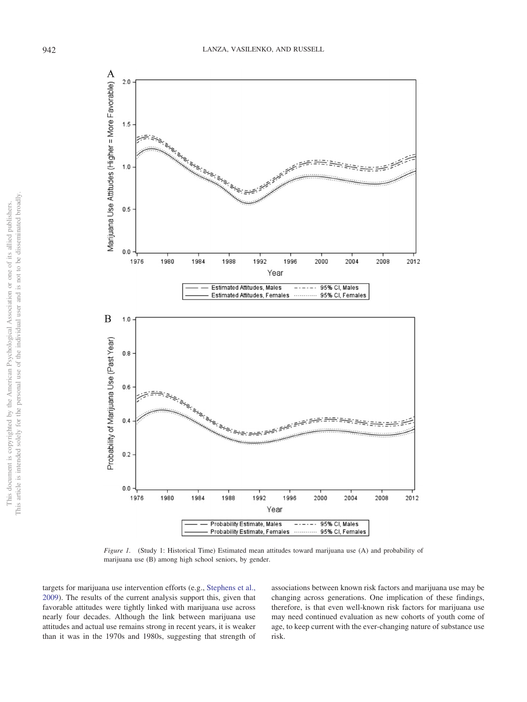

<span id="page-3-0"></span>*Figure 1.* (Study 1: Historical Time) Estimated mean attitudes toward marijuana use (A) and probability of marijuana use (B) among high school seniors, by gender.

targets for marijuana use intervention efforts (e.g., [Stephens et al.,](#page-11-9) [2009\)](#page-11-9). The results of the current analysis support this, given that favorable attitudes were tightly linked with marijuana use across nearly four decades. Although the link between marijuana use attitudes and actual use remains strong in recent years, it is weaker than it was in the 1970s and 1980s, suggesting that strength of

associations between known risk factors and marijuana use may be changing across generations. One implication of these findings, therefore, is that even well-known risk factors for marijuana use may need continued evaluation as new cohorts of youth come of age, to keep current with the ever-changing nature of substance use risk.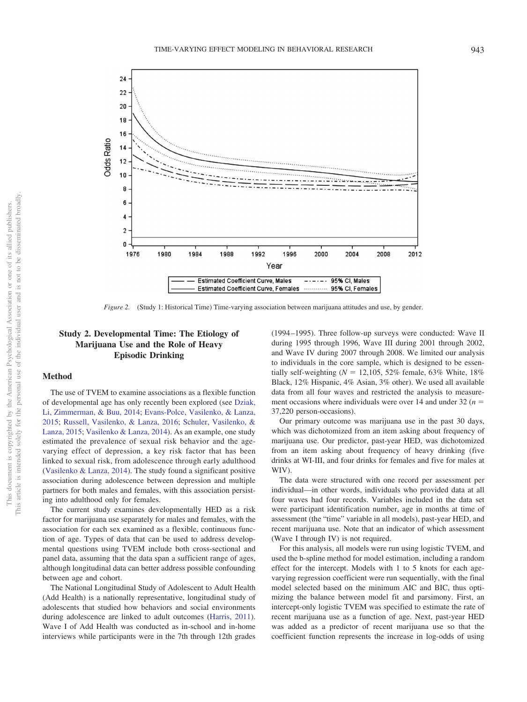

<span id="page-4-0"></span>*Figure 2.* (Study 1: Historical Time) Time-varying association between marijuana attitudes and use, by gender.

# **Study 2. Developmental Time: The Etiology of Marijuana Use and the Role of Heavy Episodic Drinking**

#### **Method**

The use of TVEM to examine associations as a flexible function of developmental age has only recently been explored (see [Dziak,](#page-11-10) [Li, Zimmerman, & Buu, 2014;](#page-11-10) [Evans-Polce, Vasilenko, & Lanza,](#page-11-11) [2015;](#page-11-11) [Russell, Vasilenko, & Lanza, 2016;](#page-11-12) [Schuler, Vasilenko, &](#page-11-13) [Lanza, 2015;](#page-11-13) [Vasilenko & Lanza, 2014\)](#page-12-4). As an example, one study estimated the prevalence of sexual risk behavior and the agevarying effect of depression, a key risk factor that has been linked to sexual risk, from adolescence through early adulthood [\(Vasilenko & Lanza, 2014\)](#page-12-4). The study found a significant positive association during adolescence between depression and multiple partners for both males and females, with this association persisting into adulthood only for females.

The current study examines developmentally HED as a risk factor for marijuana use separately for males and females, with the association for each sex examined as a flexible, continuous function of age. Types of data that can be used to address developmental questions using TVEM include both cross-sectional and panel data, assuming that the data span a sufficient range of ages, although longitudinal data can better address possible confounding between age and cohort.

The National Longitudinal Study of Adolescent to Adult Health (Add Health) is a nationally representative, longitudinal study of adolescents that studied how behaviors and social environments during adolescence are linked to adult outcomes [\(Harris, 2011\)](#page-11-14). Wave I of Add Health was conducted as in-school and in-home interviews while participants were in the 7th through 12th grades (1994 –1995). Three follow-up surveys were conducted: Wave II during 1995 through 1996, Wave III during 2001 through 2002, and Wave IV during 2007 through 2008. We limited our analysis to individuals in the core sample, which is designed to be essentially self-weighting ( $N = 12,105, 52\%$  female, 63% White, 18% Black, 12% Hispanic, 4% Asian, 3% other). We used all available data from all four waves and restricted the analysis to measurement occasions where individuals were over 14 and under 32 (*n* 37,220 person-occasions).

Our primary outcome was marijuana use in the past 30 days, which was dichotomized from an item asking about frequency of marijuana use. Our predictor, past-year HED, was dichotomized from an item asking about frequency of heavy drinking (five drinks at WI-III, and four drinks for females and five for males at WIV).

The data were structured with one record per assessment per individual—in other words, individuals who provided data at all four waves had four records. Variables included in the data set were participant identification number, age in months at time of assessment (the "time" variable in all models), past-year HED, and recent marijuana use. Note that an indicator of which assessment (Wave I through IV) is not required.

For this analysis, all models were run using logistic TVEM, and used the b-spline method for model estimation, including a random effect for the intercept. Models with 1 to 5 knots for each agevarying regression coefficient were run sequentially, with the final model selected based on the minimum AIC and BIC, thus optimizing the balance between model fit and parsimony. First, an intercept-only logistic TVEM was specified to estimate the rate of recent marijuana use as a function of age. Next, past-year HED was added as a predictor of recent marijuana use so that the coefficient function represents the increase in log-odds of using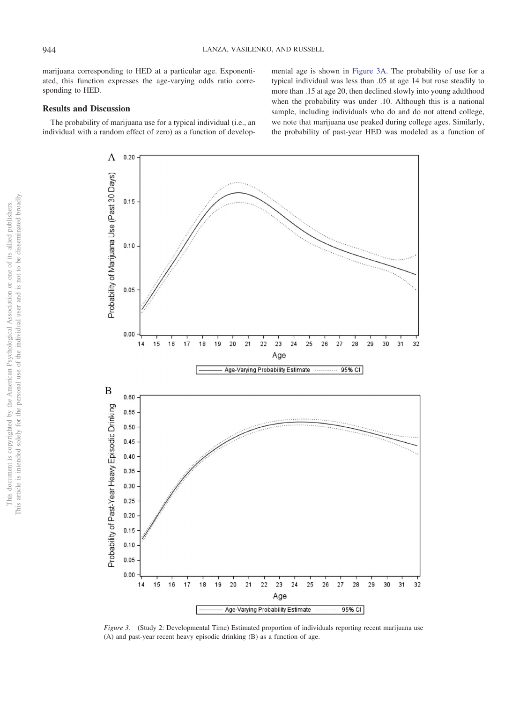marijuana corresponding to HED at a particular age. Exponentiated, this function expresses the age-varying odds ratio corresponding to HED.

# **Results and Discussion**

The probability of marijuana use for a typical individual (i.e., an individual with a random effect of zero) as a function of developmental age is shown in [Figure 3A.](#page-5-0) The probability of use for a typical individual was less than .05 at age 14 but rose steadily to more than .15 at age 20, then declined slowly into young adulthood when the probability was under .10. Although this is a national sample, including individuals who do and do not attend college, we note that marijuana use peaked during college ages. Similarly, the probability of past-year HED was modeled as a function of





<span id="page-5-0"></span>*Figure 3.* (Study 2: Developmental Time) Estimated proportion of individuals reporting recent marijuana use (A) and past-year recent heavy episodic drinking (B) as a function of age.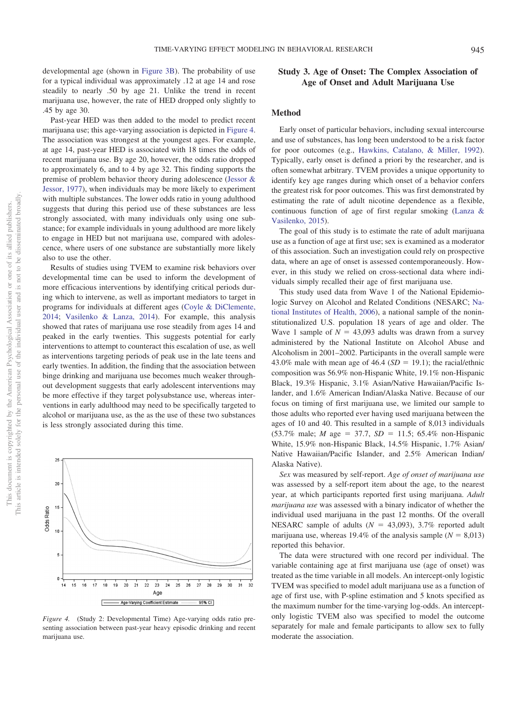developmental age (shown in [Figure 3B\)](#page-5-0). The probability of use for a typical individual was approximately .12 at age 14 and rose steadily to nearly .50 by age 21. Unlike the trend in recent marijuana use, however, the rate of HED dropped only slightly to .45 by age 30.

Past-year HED was then added to the model to predict recent marijuana use; this age-varying association is depicted in [Figure 4.](#page-6-0) The association was strongest at the youngest ages. For example, at age 14, past-year HED is associated with 18 times the odds of recent marijuana use. By age 20, however, the odds ratio dropped to approximately 6, and to 4 by age 32. This finding supports the premise of problem behavior theory during adolescence [\(Jessor &](#page-11-15) [Jessor, 1977\)](#page-11-15), when individuals may be more likely to experiment with multiple substances. The lower odds ratio in young adulthood suggests that during this period use of these substances are less strongly associated, with many individuals only using one substance; for example individuals in young adulthood are more likely to engage in HED but not marijuana use, compared with adolescence, where users of one substance are substantially more likely also to use the other.

Results of studies using TVEM to examine risk behaviors over developmental time can be used to inform the development of more efficacious interventions by identifying critical periods during which to intervene, as well as important mediators to target in programs for individuals at different ages [\(Coyle & DiClemente,](#page-11-16) [2014;](#page-11-16) [Vasilenko & Lanza, 2014\)](#page-12-4). For example, this analysis showed that rates of marijuana use rose steadily from ages 14 and peaked in the early twenties. This suggests potential for early interventions to attempt to counteract this escalation of use, as well as interventions targeting periods of peak use in the late teens and early twenties. In addition, the finding that the association between binge drinking and marijuana use becomes much weaker throughout development suggests that early adolescent interventions may be more effective if they target polysubstance use, whereas interventions in early adulthood may need to be specifically targeted to alcohol or marijuana use, as the as the use of these two substances is less strongly associated during this time.



<span id="page-6-0"></span>*Figure 4.* (Study 2: Developmental Time) Age-varying odds ratio presenting association between past-year heavy episodic drinking and recent marijuana use.

# **Study 3. Age of Onset: The Complex Association of Age of Onset and Adult Marijuana Use**

# **Method**

Early onset of particular behaviors, including sexual intercourse and use of substances, has long been understood to be a risk factor for poor outcomes (e.g., [Hawkins, Catalano, & Miller, 1992\)](#page-11-17). Typically, early onset is defined a priori by the researcher, and is often somewhat arbitrary. TVEM provides a unique opportunity to identify key age ranges during which onset of a behavior confers the greatest risk for poor outcomes. This was first demonstrated by estimating the rate of adult nicotine dependence as a flexible, continuous function of age of first regular smoking [\(Lanza &](#page-11-18) [Vasilenko, 2015\)](#page-11-18).

The goal of this study is to estimate the rate of adult marijuana use as a function of age at first use; sex is examined as a moderator of this association. Such an investigation could rely on prospective data, where an age of onset is assessed contemporaneously. However, in this study we relied on cross-sectional data where individuals simply recalled their age of first marijuana use.

This study used data from Wave 1 of the National Epidemiologic Survey on Alcohol and Related Conditions (NESARC; [Na](#page-11-19)[tional Institutes of Health, 2006\)](#page-11-19), a national sample of the noninstitutionalized U.S. population 18 years of age and older. The Wave 1 sample of  $N = 43,093$  adults was drawn from a survey administered by the National Institute on Alcohol Abuse and Alcoholism in 2001–2002. Participants in the overall sample were 43.0% male with mean age of  $46.4$  ( $SD = 19.1$ ); the racial/ethnic composition was 56.9% non-Hispanic White, 19.1% non-Hispanic Black, 19.3% Hispanic, 3.1% Asian/Native Hawaiian/Pacific Islander, and 1.6% American Indian/Alaska Native. Because of our focus on timing of first marijuana use, we limited our sample to those adults who reported ever having used marijuana between the ages of 10 and 40. This resulted in a sample of 8,013 individuals  $(53.7\% \text{ male}; M \text{ age} = 37.7, SD = 11.5; 65.4\% \text{ non-Hispanic}$ White, 15.9% non-Hispanic Black, 14.5% Hispanic, 1.7% Asian/ Native Hawaiian/Pacific Islander, and 2.5% American Indian/ Alaska Native).

*Sex* was measured by self-report. *Age of onset of marijuana use* was assessed by a self-report item about the age, to the nearest year, at which participants reported first using marijuana. *Adult marijuana use* was assessed with a binary indicator of whether the individual used marijuana in the past 12 months. Of the overall NESARC sample of adults ( $N = 43,093$ ), 3.7% reported adult marijuana use, whereas 19.4% of the analysis sample  $(N = 8,013)$ reported this behavior.

The data were structured with one record per individual. The variable containing age at first marijuana use (age of onset) was treated as the time variable in all models. An intercept-only logistic TVEM was specified to model adult marijuana use as a function of age of first use, with P-spline estimation and 5 knots specified as the maximum number for the time-varying log-odds. An interceptonly logistic TVEM also was specified to model the outcome separately for male and female participants to allow sex to fully moderate the association.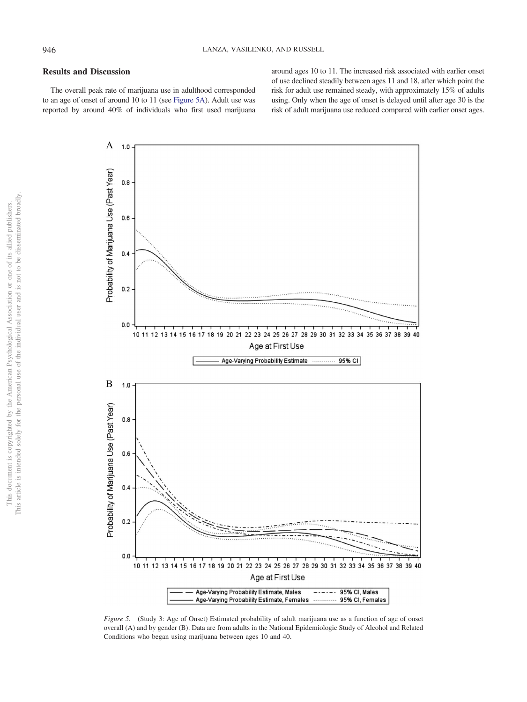## **Results and Discussion**

The overall peak rate of marijuana use in adulthood corresponded to an age of onset of around 10 to 11 (see [Figure 5A\)](#page-7-0). Adult use was reported by around 40% of individuals who first used marijuana around ages 10 to 11. The increased risk associated with earlier onset of use declined steadily between ages 11 and 18, after which point the risk for adult use remained steady, with approximately 15% of adults using. Only when the age of onset is delayed until after age 30 is the risk of adult marijuana use reduced compared with earlier onset ages.



<span id="page-7-0"></span>*Figure 5.* (Study 3: Age of Onset) Estimated probability of adult marijuana use as a function of age of onset overall (A) and by gender (B). Data are from adults in the National Epidemiologic Study of Alcohol and Related Conditions who began using marijuana between ages 10 and 40.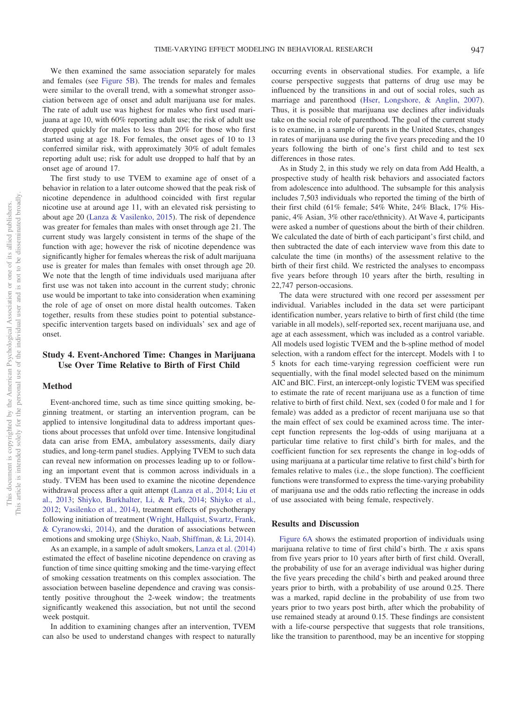We then examined the same association separately for males and females (see [Figure 5B\)](#page-7-0). The trends for males and females were similar to the overall trend, with a somewhat stronger association between age of onset and adult marijuana use for males. The rate of adult use was highest for males who first used marijuana at age 10, with 60% reporting adult use; the risk of adult use dropped quickly for males to less than 20% for those who first started using at age 18. For females, the onset ages of 10 to 13 conferred similar risk, with approximately 30% of adult females reporting adult use; risk for adult use dropped to half that by an onset age of around 17.

The first study to use TVEM to examine age of onset of a behavior in relation to a later outcome showed that the peak risk of nicotine dependence in adulthood coincided with first regular nicotine use at around age 11, with an elevated risk persisting to about age 20 [\(Lanza & Vasilenko, 2015\)](#page-11-18). The risk of dependence was greater for females than males with onset through age 21. The current study was largely consistent in terms of the shape of the function with age; however the risk of nicotine dependence was significantly higher for females whereas the risk of adult marijuana use is greater for males than females with onset through age 20. We note that the length of time individuals used marijuana after first use was not taken into account in the current study; chronic use would be important to take into consideration when examining the role of age of onset on more distal health outcomes. Taken together, results from these studies point to potential substancespecific intervention targets based on individuals' sex and age of onset.

# **Study 4. Event-Anchored Time: Changes in Marijuana Use Over Time Relative to Birth of First Child**

#### **Method**

Event-anchored time, such as time since quitting smoking, beginning treatment, or starting an intervention program, can be applied to intensive longitudinal data to address important questions about processes that unfold over time. Intensive longitudinal data can arise from EMA, ambulatory assessments, daily diary studies, and long-term panel studies. Applying TVEM to such data can reveal new information on processes leading up to or following an important event that is common across individuals in a study. TVEM has been used to examine the nicotine dependence withdrawal process after a quit attempt [\(Lanza et al., 2014;](#page-11-3) [Liu et](#page-11-4) [al., 2013;](#page-11-4) [Shiyko, Burkhalter, Li, & Park, 2014;](#page-11-20) [Shiyko et al.,](#page-11-5) [2012;](#page-11-5) [Vasilenko et al., 2014\)](#page-12-1), treatment effects of psychotherapy following initiation of treatment [\(Wright, Hallquist, Swartz, Frank,](#page-12-5) [& Cyranowski, 2014\)](#page-12-5), and the duration of associations between emotions and smoking urge [\(Shiyko, Naab, Shiffman, & Li, 2014\)](#page-11-21).

As an example, in a sample of adult smokers, [Lanza et al. \(2014\)](#page-11-3) estimated the effect of baseline nicotine dependence on craving as function of time since quitting smoking and the time-varying effect of smoking cessation treatments on this complex association. The association between baseline dependence and craving was consistently positive throughout the 2-week window; the treatments significantly weakened this association, but not until the second week postquit.

In addition to examining changes after an intervention, TVEM can also be used to understand changes with respect to naturally occurring events in observational studies. For example, a life course perspective suggests that patterns of drug use may be influenced by the transitions in and out of social roles, such as marriage and parenthood [\(Hser, Longshore, & Anglin, 2007\)](#page-11-22). Thus, it is possible that marijuana use declines after individuals take on the social role of parenthood. The goal of the current study is to examine, in a sample of parents in the United States, changes in rates of marijuana use during the five years preceding and the 10 years following the birth of one's first child and to test sex differences in those rates.

As in Study 2, in this study we rely on data from Add Health, a prospective study of health risk behaviors and associated factors from adolescence into adulthood. The subsample for this analysis includes 7,503 individuals who reported the timing of the birth of their first child (61% female; 54% White, 24% Black, 17% Hispanic, 4% Asian, 3% other race/ethnicity). At Wave 4, participants were asked a number of questions about the birth of their children. We calculated the date of birth of each participant's first child, and then subtracted the date of each interview wave from this date to calculate the time (in months) of the assessment relative to the birth of their first child. We restricted the analyses to encompass five years before through 10 years after the birth, resulting in 22,747 person-occasions.

The data were structured with one record per assessment per individual. Variables included in the data set were participant identification number, years relative to birth of first child (the time variable in all models), self-reported sex, recent marijuana use, and age at each assessment, which was included as a control variable. All models used logistic TVEM and the b-spline method of model selection, with a random effect for the intercept. Models with 1 to 5 knots for each time-varying regression coefficient were run sequentially, with the final model selected based on the minimum AIC and BIC. First, an intercept-only logistic TVEM was specified to estimate the rate of recent marijuana use as a function of time relative to birth of first child. Next, sex (coded 0 for male and 1 for female) was added as a predictor of recent marijuana use so that the main effect of sex could be examined across time. The intercept function represents the log-odds of using marijuana at a particular time relative to first child's birth for males, and the coefficient function for sex represents the change in log-odds of using marijuana at a particular time relative to first child's birth for females relative to males (i.e., the slope function). The coefficient functions were transformed to express the time-varying probability of marijuana use and the odds ratio reflecting the increase in odds of use associated with being female, respectively.

#### **Results and Discussion**

[Figure 6A](#page-9-0) shows the estimated proportion of individuals using marijuana relative to time of first child's birth. The *x* axis spans from five years prior to 10 years after birth of first child. Overall, the probability of use for an average individual was higher during the five years preceding the child's birth and peaked around three years prior to birth, with a probability of use around 0.25. There was a marked, rapid decline in the probability of use from two years prior to two years post birth, after which the probability of use remained steady at around 0.15. These findings are consistent with a life-course perspective that suggests that role transitions, like the transition to parenthood, may be an incentive for stopping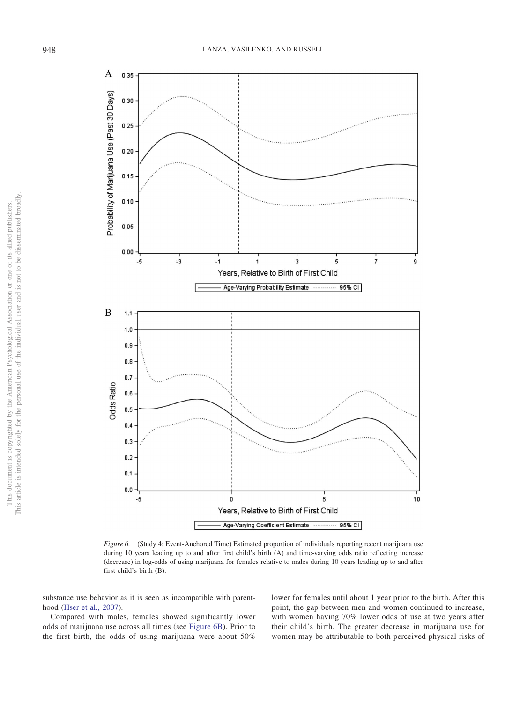

<span id="page-9-0"></span>*Figure 6.* (Study 4: Event-Anchored Time) Estimated proportion of individuals reporting recent marijuana use during 10 years leading up to and after first child's birth (A) and time-varying odds ratio reflecting increase (decrease) in log-odds of using marijuana for females relative to males during 10 years leading up to and after first child's birth (B).

substance use behavior as it is seen as incompatible with parenthood [\(Hser et al., 2007\)](#page-11-22).

Compared with males, females showed significantly lower odds of marijuana use across all times (see [Figure 6B\)](#page-9-0). Prior to the first birth, the odds of using marijuana were about 50%

lower for females until about 1 year prior to the birth. After this point, the gap between men and women continued to increase, with women having 70% lower odds of use at two years after their child's birth. The greater decrease in marijuana use for women may be attributable to both perceived physical risks of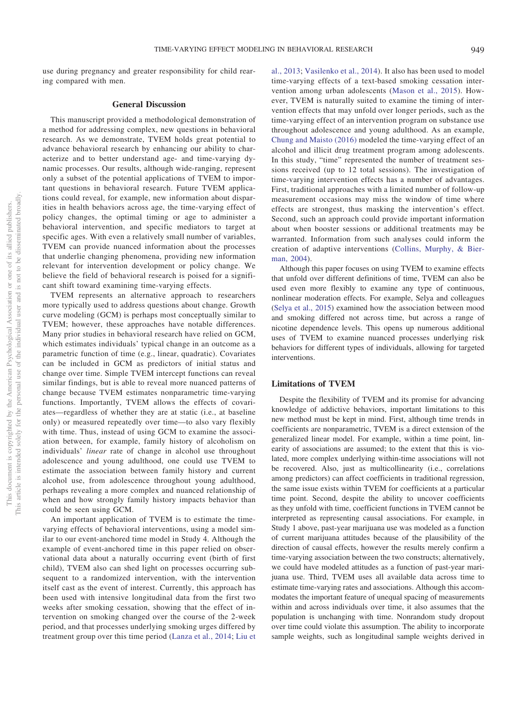use during pregnancy and greater responsibility for child rearing compared with men.

# **General Discussion**

This manuscript provided a methodological demonstration of a method for addressing complex, new questions in behavioral research. As we demonstrate, TVEM holds great potential to advance behavioral research by enhancing our ability to characterize and to better understand age- and time-varying dynamic processes. Our results, although wide-ranging, represent only a subset of the potential applications of TVEM to important questions in behavioral research. Future TVEM applications could reveal, for example, new information about disparities in health behaviors across age, the time-varying effect of policy changes, the optimal timing or age to administer a behavioral intervention, and specific mediators to target at specific ages. With even a relatively small number of variables, TVEM can provide nuanced information about the processes that underlie changing phenomena, providing new information relevant for intervention development or policy change. We believe the field of behavioral research is poised for a significant shift toward examining time-varying effects.

TVEM represents an alternative approach to researchers more typically used to address questions about change. Growth curve modeling (GCM) is perhaps most conceptually similar to TVEM; however, these approaches have notable differences. Many prior studies in behavioral research have relied on GCM, which estimates individuals' typical change in an outcome as a parametric function of time (e.g., linear, quadratic). Covariates can be included in GCM as predictors of initial status and change over time. Simple TVEM intercept functions can reveal similar findings, but is able to reveal more nuanced patterns of change because TVEM estimates nonparametric time-varying functions. Importantly, TVEM allows the effects of covariates—regardless of whether they are at static (i.e., at baseline only) or measured repeatedly over time—to also vary flexibly with time. Thus, instead of using GCM to examine the association between, for example, family history of alcoholism on individuals' *linear* rate of change in alcohol use throughout adolescence and young adulthood, one could use TVEM to estimate the association between family history and current alcohol use, from adolescence throughout young adulthood, perhaps revealing a more complex and nuanced relationship of when and how strongly family history impacts behavior than could be seen using GCM.

An important application of TVEM is to estimate the timevarying effects of behavioral interventions, using a model similar to our event-anchored time model in Study 4. Although the example of event-anchored time in this paper relied on observational data about a naturally occurring event (birth of first child), TVEM also can shed light on processes occurring subsequent to a randomized intervention, with the intervention itself cast as the event of interest. Currently, this approach has been used with intensive longitudinal data from the first two weeks after smoking cessation, showing that the effect of intervention on smoking changed over the course of the 2-week period, and that processes underlying smoking urges differed by treatment group over this time period [\(Lanza et al., 2014;](#page-11-3) [Liu et](#page-11-4) [al., 2013;](#page-11-4) [Vasilenko et al., 2014\)](#page-12-1). It also has been used to model time-varying effects of a text-based smoking cessation intervention among urban adolescents [\(Mason et al., 2015\)](#page-11-23). However, TVEM is naturally suited to examine the timing of intervention effects that may unfold over longer periods, such as the time-varying effect of an intervention program on substance use throughout adolescence and young adulthood. As an example, [Chung and Maisto \(2016\)](#page-11-24) modeled the time-varying effect of an alcohol and illicit drug treatment program among adolescents. In this study, "time" represented the number of treatment sessions received (up to 12 total sessions). The investigation of time-varying intervention effects has a number of advantages. First, traditional approaches with a limited number of follow-up measurement occasions may miss the window of time where effects are strongest, thus masking the intervention's effect. Second, such an approach could provide important information about when booster sessions or additional treatments may be warranted. Information from such analyses could inform the creation of adaptive interventions [\(Collins, Murphy, & Bier](#page-11-25)[man, 2004\)](#page-11-25).

Although this paper focuses on using TVEM to examine effects that unfold over different definitions of time, TVEM can also be used even more flexibly to examine any type of continuous, nonlinear moderation effects. For example, Selya and colleagues [\(Selya et al., 2015\)](#page-11-26) examined how the association between mood and smoking differed not across time, but across a range of nicotine dependence levels. This opens up numerous additional uses of TVEM to examine nuanced processes underlying risk behaviors for different types of individuals, allowing for targeted interventions.

# **Limitations of TVEM**

Despite the flexibility of TVEM and its promise for advancing knowledge of addictive behaviors, important limitations to this new method must be kept in mind. First, although time trends in coefficients are nonparametric, TVEM is a direct extension of the generalized linear model. For example, within a time point, linearity of associations are assumed; to the extent that this is violated, more complex underlying within-time associations will not be recovered. Also, just as multicollinearity (i.e., correlations among predictors) can affect coefficients in traditional regression, the same issue exists within TVEM for coefficients at a particular time point. Second, despite the ability to uncover coefficients as they unfold with time, coefficient functions in TVEM cannot be interpreted as representing causal associations. For example, in Study 1 above, past-year marijuana use was modeled as a function of current marijuana attitudes because of the plausibility of the direction of causal effects, however the results merely confirm a time-varying association between the two constructs; alternatively, we could have modeled attitudes as a function of past-year marijuana use. Third, TVEM uses all available data across time to estimate time-varying rates and associations. Although this accommodates the important feature of unequal spacing of measurements within and across individuals over time, it also assumes that the population is unchanging with time. Nonrandom study dropout over time could violate this assumption. The ability to incorporate sample weights, such as longitudinal sample weights derived in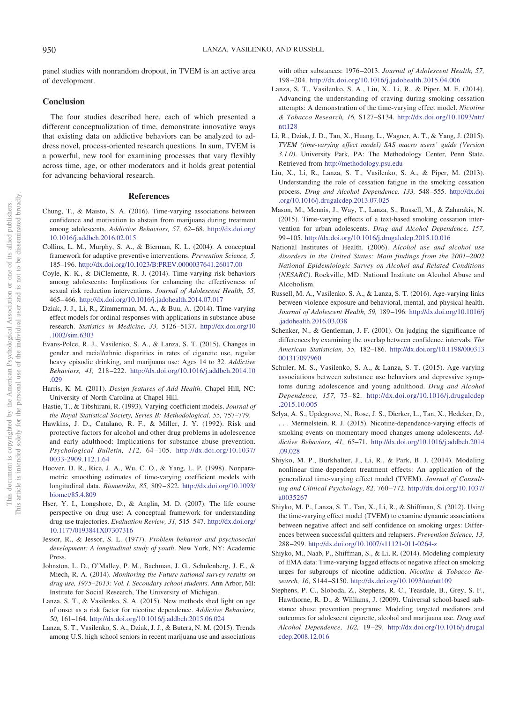panel studies with nonrandom dropout, in TVEM is an active area of development.

## **Conclusion**

The four studies described here, each of which presented a different conceptualization of time, demonstrate innovative ways that existing data on addictive behaviors can be analyzed to address novel, process-oriented research questions. In sum, TVEM is a powerful, new tool for examining processes that vary flexibly across time, age, or other moderators and it holds great potential for advancing behavioral research.

#### **References**

- <span id="page-11-24"></span>Chung, T., & Maisto, S. A. (2016). Time-varying associations between confidence and motivation to abstain from marijuana during treatment among adolescents. *Addictive Behaviors*, 57, 62-68. [http://dx.doi.org/](http://dx.doi.org/10.1016/j.addbeh.2016.02.015) [10.1016/j.addbeh.2016.02.015](http://dx.doi.org/10.1016/j.addbeh.2016.02.015)
- <span id="page-11-25"></span>Collins, L. M., Murphy, S. A., & Bierman, K. L. (2004). A conceptual framework for adaptive preventive interventions. *Prevention Science, 5,* 185–196. <http://dx.doi.org/10.1023/B:PREV.0000037641.26017.00>
- <span id="page-11-16"></span>Coyle, K. K., & DiClemente, R. J. (2014). Time-varying risk behaviors among adolescents: Implications for enhancing the effectiveness of sexual risk reduction interventions. *Journal of Adolescent Health, 55,* 465– 466. <http://dx.doi.org/10.1016/j.jadohealth.2014.07.017>
- <span id="page-11-10"></span>Dziak, J. J., Li, R., Zimmerman, M. A., & Buu, A. (2014). Time-varying effect models for ordinal responses with applications in substance abuse research. *Statistics in Medicine, 33,* 5126 –5137. [http://dx.doi.org/10](http://dx.doi.org/10.1002/sim.6303) [.1002/sim.6303](http://dx.doi.org/10.1002/sim.6303)
- <span id="page-11-11"></span>Evans-Polce, R. J., Vasilenko, S. A., & Lanza, S. T. (2015). Changes in gender and racial/ethnic disparities in rates of cigarette use, regular heavy episodic drinking, and marijuana use: Ages 14 to 32. *Addictive Behaviors, 41,* 218 –222. [http://dx.doi.org/10.1016/j.addbeh.2014.10](http://dx.doi.org/10.1016/j.addbeh.2014.10.029) [.029](http://dx.doi.org/10.1016/j.addbeh.2014.10.029)
- <span id="page-11-14"></span>Harris, K. M. (2011). *Design features of Add Health*. Chapel Hill, NC: University of North Carolina at Chapel Hill.
- <span id="page-11-0"></span>Hastie, T., & Tibshirani, R. (1993). Varying-coefficient models. *Journal of the Royal Statistical Society, Series B: Methodological, 55,* 757–779.
- <span id="page-11-17"></span>Hawkins, J. D., Catalano, R. F., & Miller, J. Y. (1992). Risk and protective factors for alcohol and other drug problems in adolescence and early adulthood: Implications for substance abuse prevention. *Psychological Bulletin, 112,* 64 –105. [http://dx.doi.org/10.1037/](http://dx.doi.org/10.1037/0033-2909.112.1.64) [0033-2909.112.1.64](http://dx.doi.org/10.1037/0033-2909.112.1.64)
- <span id="page-11-1"></span>Hoover, D. R., Rice, J. A., Wu, C. O., & Yang, L. P. (1998). Nonparametric smoothing estimates of time-varying coefficient models with longitudinal data. *Biometrika, 85,* 809 – 822. [http://dx.doi.org/10.1093/](http://dx.doi.org/10.1093/biomet/85.4.809) [biomet/85.4.809](http://dx.doi.org/10.1093/biomet/85.4.809)
- <span id="page-11-22"></span>Hser, Y. I., Longshore, D., & Anglin, M. D. (2007). The life course perspective on drug use: A conceptual framework for understanding drug use trajectories. *Evaluation Review, 31,* 515–547. [http://dx.doi.org/](http://dx.doi.org/10.1177/0193841X07307316) [10.1177/0193841X07307316](http://dx.doi.org/10.1177/0193841X07307316)
- <span id="page-11-15"></span>Jessor, R., & Jessor, S. L. (1977). *Problem behavior and psychosocial development: A longitudinal study of youth*. New York, NY: Academic Press.
- <span id="page-11-8"></span>Johnston, L. D., O'Malley, P. M., Bachman, J. G., Schulenberg, J. E., & Miech, R. A. (2014). *Monitoring the Future national survey results on drug use, 1975–2013: Vol. I*. *Secondary school students*. Ann Arbor, MI: Institute for Social Research, The University of Michigan.
- <span id="page-11-18"></span>Lanza, S. T., & Vasilenko, S. A. (2015). New methods shed light on age of onset as a risk factor for nicotine dependence. *Addictive Behaviors, 50,* 161–164. <http://dx.doi.org/10.1016/j.addbeh.2015.06.024>
- <span id="page-11-7"></span>Lanza, S. T., Vasilenko, S. A., Dziak, J. J., & Butera, N. M. (2015). Trends among U.S. high school seniors in recent marijuana use and associations

with other substances: 1976 –2013. *Journal of Adolescent Health, 57,* 198 –204. <http://dx.doi.org/10.1016/j.jadohealth.2015.04.006>

- <span id="page-11-3"></span>Lanza, S. T., Vasilenko, S. A., Liu, X., Li, R., & Piper, M. E. (2014). Advancing the understanding of craving during smoking cessation attempts: A demonstration of the time-varying effect model. *Nicotine & Tobacco Research, 16,* S127–S134. [http://dx.doi.org/10.1093/ntr/](http://dx.doi.org/10.1093/ntr/ntt128) [ntt128](http://dx.doi.org/10.1093/ntr/ntt128)
- <span id="page-11-2"></span>Li, R., Dziak, J. D., Tan, X., Huang, L., Wagner, A. T., & Yang, J. (2015). *TVEM (time-varying effect model) SAS macro users' guide (Version 3.1.0)*. University Park, PA: The Methodology Center, Penn State. Retrieved from <http://methodology.psu.edu>
- <span id="page-11-4"></span>Liu, X., Li, R., Lanza, S. T., Vasilenko, S. A., & Piper, M. (2013). Understanding the role of cessation fatigue in the smoking cessation process. *Drug and Alcohol Dependence, 133,* 548 –555. [http://dx.doi](http://dx.doi.org/10.1016/j.drugalcdep.2013.07.025) [.org/10.1016/j.drugalcdep.2013.07.025](http://dx.doi.org/10.1016/j.drugalcdep.2013.07.025)
- <span id="page-11-23"></span>Mason, M., Mennis, J., Way, T., Lanza, S., Russell, M., & Zaharakis, N. (2015). Time-varying effects of a text-based smoking cessation intervention for urban adolescents. *Drug and Alcohol Dependence, 157,* 99 –105. <http://dx.doi.org/10.1016/j.drugalcdep.2015.10.016>
- <span id="page-11-19"></span>National Institutes of Health. (2006). *Alcohol use and alcohol use disorders in the United States: Main findings from the 2001–2002 National Epidemiologic Survey on Alcohol and Related Conditions (NESARC)*. Rockville, MD: National Institute on Alcohol Abuse and Alcoholism.
- <span id="page-11-12"></span>Russell, M. A., Vasilenko, S. A., & Lanza, S. T. (2016). Age-varying links between violence exposure and behavioral, mental, and physical health. *Journal of Adolescent Health, 59,* 189 –196. [http://dx.doi.org/10.1016/j](http://dx.doi.org/10.1016/j.jadohealth.2016.03.038) [.jadohealth.2016.03.038](http://dx.doi.org/10.1016/j.jadohealth.2016.03.038)
- <span id="page-11-6"></span>Schenker, N., & Gentleman, J. F. (2001). On judging the significance of differences by examining the overlap between confidence intervals. *The American Statistician, 55,* 182–186. [http://dx.doi.org/10.1198/000313](http://dx.doi.org/10.1198/000313001317097960) [001317097960](http://dx.doi.org/10.1198/000313001317097960)
- <span id="page-11-13"></span>Schuler, M. S., Vasilenko, S. A., & Lanza, S. T. (2015). Age-varying associations between substance use behaviors and depressive symptoms during adolescence and young adulthood. *Drug and Alcohol Dependence, 157,* 75– 82. [http://dx.doi.org/10.1016/j.drugalcdep](http://dx.doi.org/10.1016/j.drugalcdep.2015.10.005) [.2015.10.005](http://dx.doi.org/10.1016/j.drugalcdep.2015.10.005)
- <span id="page-11-26"></span>Selya, A. S., Updegrove, N., Rose, J. S., Dierker, L., Tan, X., Hedeker, D., . . . Mermelstein, R. J. (2015). Nicotine-dependence-varying effects of smoking events on momentary mood changes among adolescents. *Addictive Behaviors, 41,* 65–71. [http://dx.doi.org/10.1016/j.addbeh.2014](http://dx.doi.org/10.1016/j.addbeh.2014.09.028) [.09.028](http://dx.doi.org/10.1016/j.addbeh.2014.09.028)
- <span id="page-11-20"></span>Shiyko, M. P., Burkhalter, J., Li, R., & Park, B. J. (2014). Modeling nonlinear time-dependent treatment effects: An application of the generalized time-varying effect model (TVEM). *Journal of Consulting and Clinical Psychology, 82,* 760 –772. [http://dx.doi.org/10.1037/](http://dx.doi.org/10.1037/a0035267) [a0035267](http://dx.doi.org/10.1037/a0035267)
- <span id="page-11-5"></span>Shiyko, M. P., Lanza, S. T., Tan, X., Li, R., & Shiffman, S. (2012). Using the time-varying effect model (TVEM) to examine dynamic associations between negative affect and self confidence on smoking urges: Differences between successful quitters and relapsers. *Prevention Science, 13,* 288 –299. <http://dx.doi.org/10.1007/s11121-011-0264-z>
- <span id="page-11-21"></span>Shiyko, M., Naab, P., Shiffman, S., & Li, R. (2014). Modeling complexity of EMA data: Time-varying lagged effects of negative affect on smoking urges for subgroups of nicotine addiction. *Nicotine & Tobacco Research, 16,* S144 –S150. <http://dx.doi.org/10.1093/ntr/ntt109>
- <span id="page-11-9"></span>Stephens, P. C., Sloboda, Z., Stephens, R. C., Teasdale, B., Grey, S. F., Hawthorne, R. D., & Williams, J. (2009). Universal school-based substance abuse prevention programs: Modeling targeted mediators and outcomes for adolescent cigarette, alcohol and marijuana use. *Drug and Alcohol Dependence, 102,* 19 –29. [http://dx.doi.org/10.1016/j.drugal](http://dx.doi.org/10.1016/j.drugalcdep.2008.12.016) [cdep.2008.12.016](http://dx.doi.org/10.1016/j.drugalcdep.2008.12.016)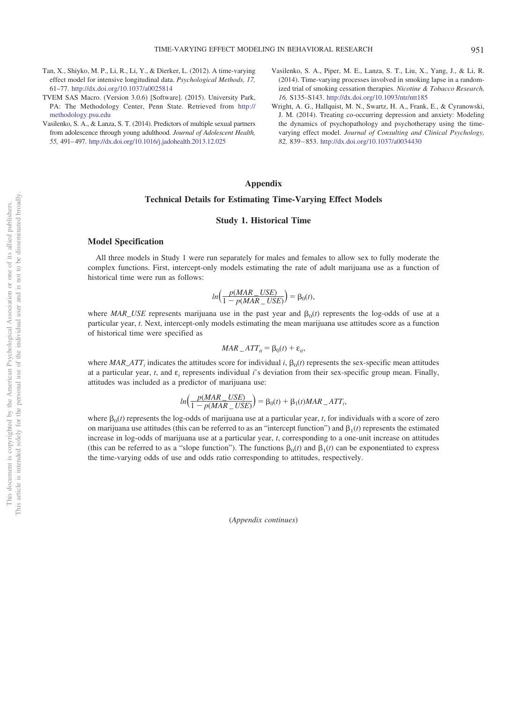- <span id="page-12-0"></span>Tan, X., Shiyko, M. P., Li, R., Li, Y., & Dierker, L. (2012). A time-varying effect model for intensive longitudinal data. *Psychological Methods, 17,* 61–77. <http://dx.doi.org/10.1037/a0025814>
- <span id="page-12-2"></span>TVEM SAS Macro. (Version 3.0.6) [Software]. (2015). University Park, PA: The Methodology Center, Penn State. Retrieved from [http://](http://methodology.psu.edu) [methodology.psu.edu](http://methodology.psu.edu)
- <span id="page-12-4"></span>Vasilenko, S. A., & Lanza, S. T. (2014). Predictors of multiple sexual partners from adolescence through young adulthood. *Journal of Adolescent Health, 55,* 491– 497. <http://dx.doi.org/10.1016/j.jadohealth.2013.12.025>
- <span id="page-12-1"></span>Vasilenko, S. A., Piper, M. E., Lanza, S. T., Liu, X., Yang, J., & Li, R. (2014). Time-varying processes involved in smoking lapse in a randomized trial of smoking cessation therapies. *Nicotine & Tobacco Research, 16,* S135–S143. <http://dx.doi.org/10.1093/ntr/ntt185>
- <span id="page-12-5"></span>Wright, A. G., Hallquist, M. N., Swartz, H. A., Frank, E., & Cyranowski, J. M. (2014). Treating co-occurring depression and anxiety: Modeling the dynamics of psychopathology and psychotherapy using the timevarying effect model. *Journal of Consulting and Clinical Psychology, 82,* 839 – 853. <http://dx.doi.org/10.1037/a0034430>

# <span id="page-12-3"></span>**Appendix**

# **Technical Details for Estimating Time-Varying Effect Models**

# **Study 1. Historical Time**

## **Model Specification**

All three models in Study 1 were run separately for males and females to allow sex to fully moderate the complex functions. First, intercept-only models estimating the rate of adult marijuana use as a function of historical time were run as follows:

$$
ln\left(\frac{p(MAR\_USE)}{1-p(MAR\_USE)}\right) = \beta_0(t),
$$

where  $MAR\_USE$  represents marijuana use in the past year and  $\beta_0(t)$  represents the log-odds of use at a particular year, *t*. Next, intercept-only models estimating the mean marijuana use attitudes score as a function of historical time were specified as

$$
MAR\_ATT_{it} = \beta_0(t) + \varepsilon_{it},
$$

where  $MAR\_ATT_i$  indicates the attitudes score for individual *i*,  $\beta_0(t)$  represents the sex-specific mean attitudes at a particular year, *t*, and ε*<sup>i</sup>* represents individual *i*'s deviation from their sex-specific group mean. Finally, attitudes was included as a predictor of marijuana use:

$$
ln\left(\frac{p(MAR\_{USE})}{1-p(MAR\_{USE})}\right) = \beta_0(t) + \beta_1(t)MAR\_{ATT_i},
$$

where  $\beta_0(t)$  represents the log-odds of marijuana use at a particular year, *t*, for individuals with a score of zero on marijuana use attitudes (this can be referred to as an "intercept function") and  $\beta_1(t)$  represents the estimated increase in log-odds of marijuana use at a particular year, *t*, corresponding to a one-unit increase on attitudes (this can be referred to as a "slope function"). The functions  $\beta_0(t)$  and  $\beta_1(t)$  can be exponentiated to express the time-varying odds of use and odds ratio corresponding to attitudes, respectively.

(*Appendix continues*)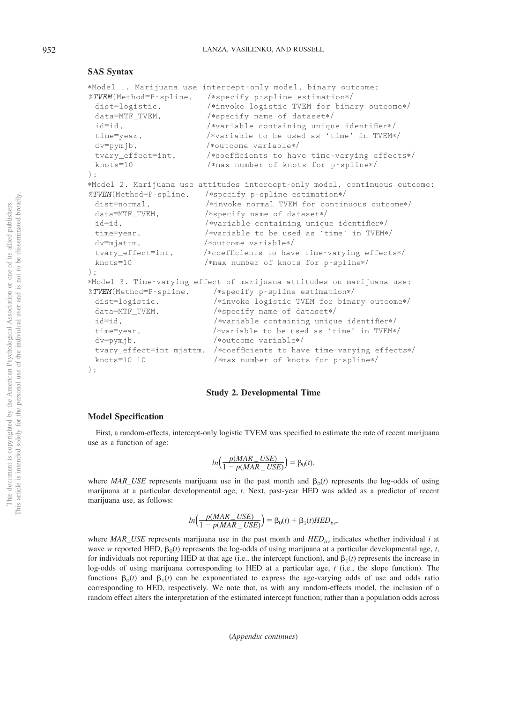# **SAS Syntax**

|                        | *Model 1. Marijuana use intercept-only model, binary outcome;                    |
|------------------------|----------------------------------------------------------------------------------|
| %TVEM(Method=P-spline, | /*specify p-spline estimation*/                                                  |
| dist=logistic,         | /*invoke logistic TVEM for binary outcome*/                                      |
| data=MTF_TVEM,         | /*specify name of dataset*/                                                      |
| $id = id$ .            | /*variable containing unique identifier*/                                        |
| time=year,             | /*variable to be used as 'time' in TVEM*/                                        |
| $dv = pymjb$ ,         | /*outcome variable*/                                                             |
| tvary_effect=int,      | /*coefficients to have time-varying effects*/                                    |
| $knots = 10$           | /*max number of knots for p-spline*/                                             |
| $)$ :                  |                                                                                  |
|                        |                                                                                  |
| %TVEM(Method=P-spline, | *Model 2. Marijuana use attitudes intercept-only model, continuous outcome;      |
| dist=normal.           | /*specify p-spline estimation*/<br>/*invoke normal TVEM for continuous outcome*/ |
|                        |                                                                                  |
| data=MTF_TVEM,         | /*specify name of dataset*/                                                      |
| id=id.                 | /*variable containing unique identifier*/                                        |
| time=year,             | /*variable to be used as 'time' in TVEM*/                                        |
| dv=mjattm.             | /*outcome variable*/                                                             |
| tvary_effect=int,      | /*coefficients to have time-varying effects*/                                    |
| $knots = 10$           | /*max number of knots for p-spline*/                                             |
| $\cdot$                |                                                                                  |
|                        | *Model 3. Time-varying effect of marijuana attitudes on marijuana use;           |
| %TVEM(Method=P-spline, | /*specify p-spline estimation*/                                                  |
| dist=logistic,         | /*invoke logistic TVEM for binary outcome*/                                      |
| data=MTF_TVEM,         | /*specify name of dataset*/                                                      |
| id=id.                 | /*variable containing unique identifier*/                                        |
| time=year,             | /*variable to be used as 'time' in TVEM*/                                        |
| $dv = pvmib$ ,         | /*outcome variable*/                                                             |
|                        | tvary_effect=int mjattm, /*coefficients to have time-varying effects*/           |
| $knots = 10 10$        | /*max number of knots for p-spline*/                                             |
|                        |                                                                                  |
| $)$ ;                  |                                                                                  |

#### **Study 2. Developmental Time**

## **Model Specification**

First, a random-effects, intercept-only logistic TVEM was specified to estimate the rate of recent marijuana use as a function of age:

$$
ln\left(\frac{p(MAR\_USE)}{1-p(MAR\_USE)}\right) = \beta_0(t),
$$

where  $MAR\_USE$  represents marijuana use in the past month and  $\beta_0(t)$  represents the log-odds of using marijuana at a particular developmental age, *t*. Next, past-year HED was added as a predictor of recent marijuana use, as follows:

$$
ln\left(\frac{p(MAR\_{USE})}{1-p(MAR\_{USE})}\right) = \beta_0(t) + \beta_1(t)HED_{iw},
$$

where *MAR\_USE* represents marijuana use in the past month and  $HED_{iw}$  indicates whether individual *i* at wave *w* reported HED,  $\beta_0(t)$  represents the log-odds of using marijuana at a particular developmental age, *t*, for individuals not reporting HED at that age (i.e., the intercept function), and  $\beta_1(t)$  represents the increase in log-odds of using marijuana corresponding to HED at a particular age, *t* (i.e., the slope function). The functions  $\beta_0(t)$  and  $\beta_1(t)$  can be exponentiated to express the age-varying odds of use and odds ratio corresponding to HED, respectively. We note that, as with any random-effects model, the inclusion of a random effect alters the interpretation of the estimated intercept function; rather than a population odds across

(*Appendix continues*)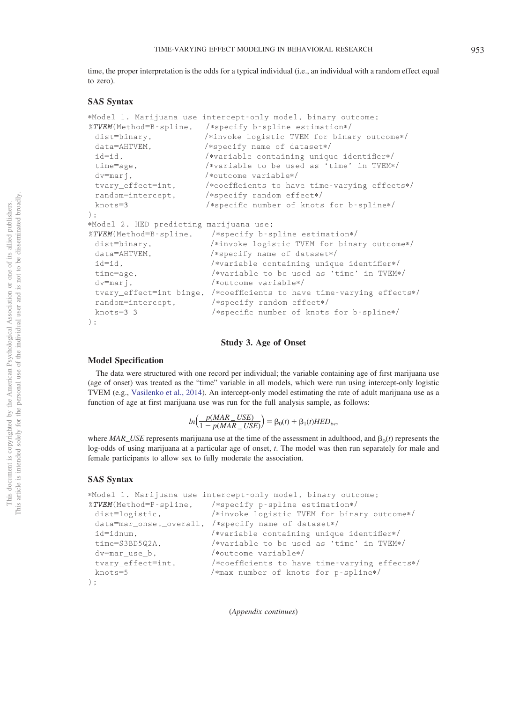time, the proper interpretation is the odds for a typical individual (i.e., an individual with a random effect equal to zero).

## **SAS Syntax**

```
-
Model 1. Marijuana use intercept-only model, binary outcome;
%TVEM(Method=B-spline, /*specify b-spline estimation*/
 dist=binary,
                           *invoke logistic TVEM for binary outcome*/
 data=AHTVEM, /
                           -
specify name of dataset
-

/
 id=id, /
                           -
variable containing unique identifier
-

/
 time=age, /
                           -
variable to be used as 'time' in TVEM
-

/
 dv=marj, /
                           -
outcome variable
-

/
 tvary_effect=int, /
                           -
coefficients to have time-varying effects
-

/
 random=intercept, /
                           -
specify random effect
-

/
 knots=
3
                          /*specific number of knots for b-spline*/
);-
Model 2. HED predicting marijuana use;
%TVEM(Method=B-spline, /*specify b-spline estimation*/
 dist=binary,
                            *invoke logistic TVEM for binary outcome*/
 data=AHTVEM, /
                            -
specify name of dataset
-

/
 id=id, /
                             -
variable containing unique identifier
-

/
 time=age, /
                             -
variable to be used as 'time' in TVEM
-

/
 dv=marj, /
                             -
outcome variable
-

/
 tvary_effect=int binge, /*coefficients to have time-varying effects*/
 random=intercept, /*specify random effect*/
 knots=3 3
                            /*specific number of knots for b-spline*/
);
```
#### **Study 3. Age of Onset**

# **Model Specification**

The data were structured with one record per individual; the variable containing age of first marijuana use (age of onset) was treated as the "time" variable in all models, which were run using intercept-only logistic TVEM (e.g., [Vasilenko et al., 2014\)](#page-12-1). An intercept-only model estimating the rate of adult marijuana use as a function of age at first marijuana use was run for the full analysis sample, as follows:

$$
ln\left(\frac{p(MAR\_USE)}{1-p(MAR\_USE)}\right) = \beta_0(t) + \beta_1(t)HED_{iw},
$$

where  $MAR\_USE$  represents marijuana use at the time of the assessment in adulthood, and  $\beta_0(t)$  represents the log-odds of using marijuana at a particular age of onset, *t*. The model was then run separately for male and female participants to allow sex to fully moderate the association.

#### **SAS Syntax**

```
-
Model 1. Marijuana use intercept-only model, binary outcome;
%TVEM(Method=P-spline, /*specify p-spline estimation*/
 dist=logistic, /
                             *invoke logistic TVEM for binary outcome*/
 data=mar_onset_overall, /*specify name of dataset*/
 id = idnum.
                             -
variable containing unique identifier
-

/
 time=S3BD5Q2A, /
                             -
variable to be used as 'time' in TVEM
-

/
 dv=mar_use_b, /
                             -
outcome variable
-

/
 tvary_effect=int, /
                             -
coefficients to have time-varying effects
-

/
 knots=5 /
                            -
max number of knots for p-spline
-

/
);
```
(*Appendix continues* )